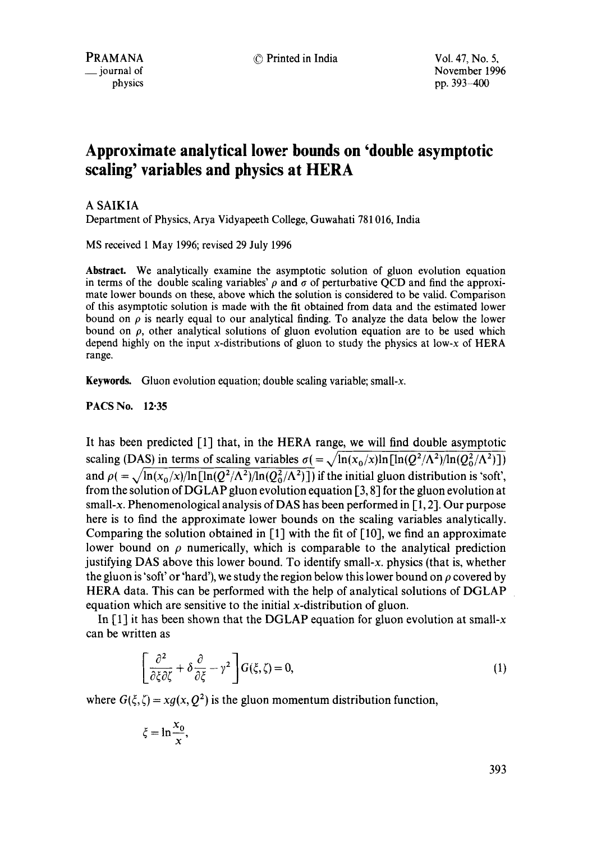PRAMANA  $\circled{P}$  Printed in India  $\circled{V}$  Vol. 47, No. 5,<br>  $\circled{P}$  iournal of 
November 199 November 1996 physics pp. 393-400

# **Approximate analytical lower bounds on 'double asymptotic scaling' variables and physics at HERA**

# A SAIKIA

Department of Physics, Arya Vidyapeeth College, Guwahati 781016, India

MS received 1 May 1996; revised 29 July 1996

**Abstract.** We analytically examine the asymptotic solution of gluon evolution equation in terms of the double scaling variables'  $\rho$  and  $\sigma$  of perturbative QCD and find the approximate lower bounds on these, above which the solution is considered to be valid. Comparison of this asymptotic solution is made with the fit obtained from data and the estimated lower bound on  $\rho$  is nearly equal to our analytical finding. To analyze the data below the lower bound on  $\rho$ , other analytical solutions of gluon evolution equation are to be used which depend highly on the input x-distributions of gluon to study the physics at low-x of HERA range.

Keywords. Gluon evolution equation; double scaling variable; small-x.

PACS No. 12.35

It has been predicted [1] that, in the HERA range, we will find double asymptotic scaling (DAS) in terms of scaling variables  $\sigma = \sqrt{\ln(x_0/x)\ln[\ln(Q^2/\Lambda^2)/\ln(Q_0^2/\Lambda^2)]}$ and  $\rho = \sqrt{\ln(x_0/x)/\ln[\ln(Q^2/\Lambda^2)/\ln(Q_0^2/\Lambda^2)]}$  if the initial gluon distribution is 'soft', from the solution of DGLAP gluon evolution equation [3, 8] for the gluon evolution at small-x. Phenomenological analysis of DAS has been performed in [1, 21. Our purpose here is to find the approximate lower bounds on the scaling variables analytically. Comparing the solution obtained in  $\lceil 1 \rceil$  with the fit of  $\lceil 10 \rceil$ , we find an approximate lower bound on  $\rho$  numerically, which is comparable to the analytical prediction justifying DAS above this lower bound. To identify small-x, physics (that is, whether the gluon is 'soft' or 'hard'), we study the region below this lower bound on  $\rho$  covered by HERA data. This can be performed with the help of analytical solutions of DGLAP equation which are sensitive to the initial x-distribution of gluon.

In  $[1]$  it has been shown that the DGLAP equation for gluon evolution at small-x can be written as

$$
\left[\frac{\partial^2}{\partial \xi \partial \zeta} + \delta \frac{\partial}{\partial \xi} - \gamma^2 \right] G(\xi, \zeta) = 0, \tag{1}
$$

where  $G(\xi, \zeta) = xg(x, Q^2)$  is the gluon momentum distribution function,

$$
\xi = \ln \frac{x_0}{x},
$$

393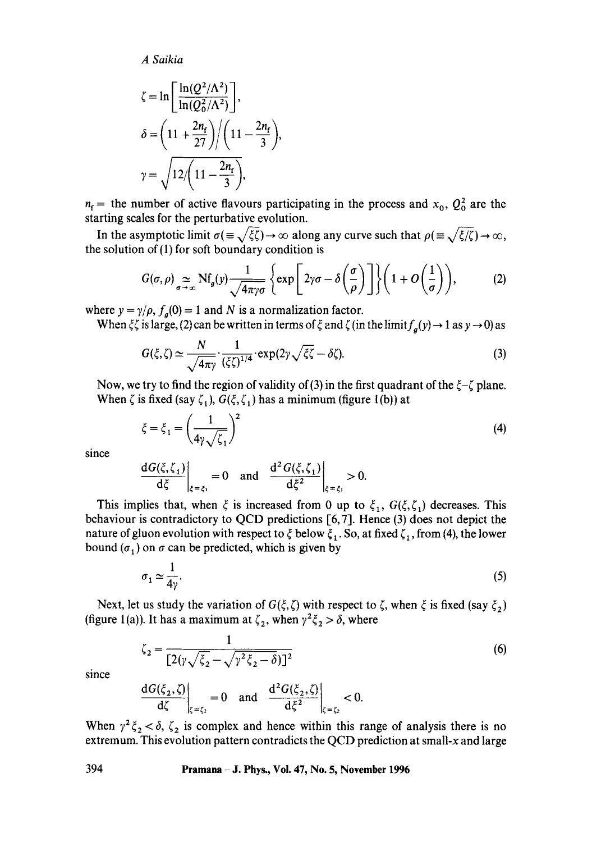*A Saikia* 

$$
\zeta = \ln\left[\frac{\ln(Q^2/\Lambda^2)}{\ln(Q_0^2/\Lambda^2)}\right],
$$
  

$$
\delta = \left(11 + \frac{2n_f}{27}\right) / \left(11 - \frac{2n_f}{3}\right),
$$
  

$$
\gamma = \sqrt{12 / \left(11 - \frac{2n_f}{3}\right)},
$$

 $n_f$  = the number of active flavours participating in the process and  $x_0$ ,  $Q_0^2$  are the starting scales for the perturbative evolution.

In the asymptotic limit  $\sigma(\equiv \sqrt{\xi\zeta}) \rightarrow \infty$  along any curve such that  $\rho(\equiv \sqrt{\xi/\zeta}) \rightarrow \infty$ , the solution of (1) for soft boundary condition is

$$
G(\sigma,\rho) \underset{\sigma \to \infty}{\simeq} \mathrm{Nf}_g(y) \frac{1}{\sqrt{4\pi\gamma\sigma}} \left\{ \exp\left[2\gamma\sigma - \delta\left(\frac{\sigma}{\rho}\right)\right] \right\} \left(1 + O\left(\frac{1}{\sigma}\right)\right), \tag{2}
$$

where  $y = \gamma/\rho$ ,  $f_q(0) = 1$  and N is a normalization factor.

When  $\zeta \zeta$  is large, (2) can be written in terms of  $\zeta$  and  $\zeta$  (in the limit $f_a(y) \to 1$  as  $y \to 0$ ) as

$$
G(\xi,\zeta) \simeq \frac{N}{\sqrt{4\pi\gamma}} \cdot \frac{1}{(\xi\zeta)^{1/4}} \cdot \exp(2\gamma\sqrt{\xi\zeta} - \delta\zeta). \tag{3}
$$

Now, we try to find the region of validity of (3) in the first quadrant of the  $\xi - \zeta$  plane. When  $\zeta$  is fixed (say  $\zeta_1$ ),  $G(\xi, \zeta_1)$  has a minimum (figure 1(b)) at

$$
\xi = \xi_1 = \left(\frac{1}{4\gamma\sqrt{\zeta_1}}\right)^2\tag{4}
$$

since

$$
\left. \frac{\mathrm{d}G(\xi,\zeta_1)}{\mathrm{d}\xi} \right|_{\xi=\xi_1} = 0 \quad \text{and} \quad \left. \frac{\mathrm{d}^2 G(\xi,\zeta_1)}{\mathrm{d}\xi^2} \right|_{\xi=\xi_1} > 0.
$$

This implies that, when  $\xi$  is increased from 0 up to  $\xi_1$ ,  $G(\xi,\zeta_1)$  decreases. This behaviour is contradictory to QCD predictions [6, 7]. Hence (3) does not depict the nature of gluon evolution with respect to  $\xi$  below  $\xi_1$ . So, at fixed  $\zeta_1$ , from (4), the lower bound ( $\sigma_1$ ) on  $\sigma$  can be predicted, which is given by

$$
\sigma_1 \simeq \frac{1}{4\gamma}.\tag{5}
$$

Next, let us study the variation of  $G(\xi, \zeta)$  with respect to  $\zeta$ , when  $\xi$  is fixed (say  $\xi_2$ ) (figure 1(a)). It has a maximum at  $\zeta_2$ , when  $\gamma^2 \zeta_2 > \delta$ , where

$$
\zeta_2 = \frac{1}{\left[2(\gamma\sqrt{\xi_2} - \sqrt{\gamma^2 \xi_2 - \delta})\right]^2}
$$
\n(6)

since

$$
\left.\frac{\mathrm{d} G(\xi_2,\zeta)}{\mathrm{d}\zeta}\right|_{\zeta=\zeta_2}=0\quad\text{and}\quad\left.\frac{\mathrm{d}^2 G(\xi_2,\zeta)}{\mathrm{d}\xi^2}\right|_{\zeta=\zeta_2}<0.
$$

When  $\gamma^2 \zeta_2 < \delta$ ,  $\zeta_2$  is complex and hence within this range of analysis there is no extremum. This evolution pattern contradicts the QCD prediction at small-x and large

394 **Pramana - d. Phys., Vol. 47, No. 5, November 1996**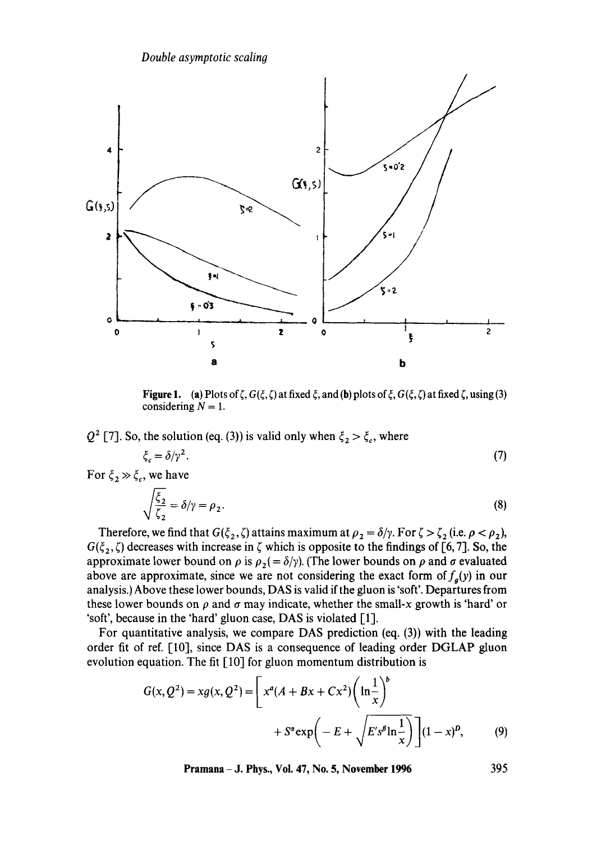

**Figure 1.** (a) Plots of  $\zeta$ ,  $G(\xi, \zeta)$  at fixed  $\xi$ , and (b) plots of  $\xi$ ,  $G(\xi, \zeta)$  at fixed  $\zeta$ , using (3) considering  $N = 1$ .

 $Q^2$  [7]. So, the solution (eq. (3)) is valid only when  $\xi_2 > \xi_c$ , where

$$
\xi_c = \delta/\gamma^2. \tag{7}
$$

For  $\xi_2 \gg \xi_c$ , we have

$$
\sqrt{\frac{\xi_2}{\xi_2}} = \delta/\gamma = \rho_2. \tag{8}
$$

Therefore, we find that  $G(\xi_2, \zeta)$  attains maximum at  $\rho_2 = \delta/\gamma$ . For  $\zeta > \zeta_2$  (i.e.  $\rho < \rho_2$ ),  $G(\xi_2, \zeta)$  decreases with increase in  $\zeta$  which is opposite to the findings of [6,7]. So, the approximate lower bound on  $\rho$  is  $\rho_2(=\delta/\gamma)$ . (The lower bounds on  $\rho$  and  $\sigma$  evaluated above are approximate, since we are not considering the exact form of  $f_q(y)$  in our analysis.) Above these lower bounds, DAS is valid if the gluon is 'soft'. Departures from these lower bounds on  $\rho$  and  $\sigma$  may indicate, whether the small-x growth is 'hard' or 'soft', because in the 'hard' gluon case, DAS is violated [1].

For quantitative analysis, we compare DAS prediction (eq. (3)) with the leading order fit of ref. [10], since DAS is a consequence of leading order DGLAP gluon evolution equation. The fit [10] for gluon momentum distribution is

$$
G(x, Q^{2}) = xg(x, Q^{2}) = \left[x^{a}(A + Bx + Cx^{2})\left(\ln\frac{1}{x}\right)^{b} + S^{a} \exp\left(-E + \sqrt{E's^{b}\ln\frac{1}{x}}\right)\right](1 - x)^{p}, \qquad (9)
$$

**Pramana - J. Phys., Voi. 47, No. 5, November 1996 395**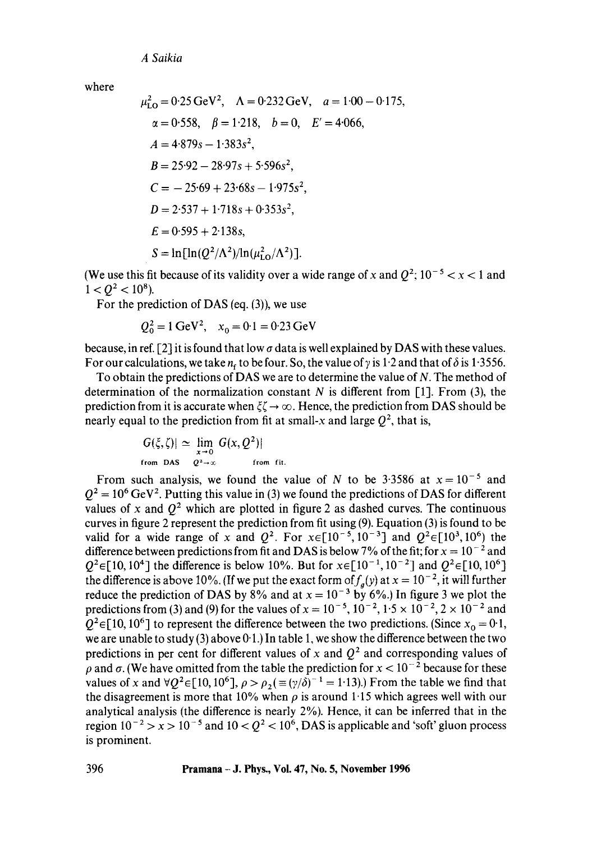*A Saikia* 

where

$$
\mu_{LO}^2 = 0.25 \text{ GeV}^2, \quad \Lambda = 0.232 \text{ GeV}, \quad a = 1.00 - 0.175,
$$
\n
$$
\alpha = 0.558, \quad \beta = 1.218, \quad b = 0, \quad E' = 4.066,
$$
\n
$$
A = 4.879s - 1.383s^2,
$$
\n
$$
B = 25.92 - 28.97s + 5.596s^2,
$$
\n
$$
C = -25.69 + 23.68s - 1.975s^2,
$$
\n
$$
D = 2.537 + 1.718s + 0.353s^2,
$$
\n
$$
E = 0.595 + 2.138s,
$$
\n
$$
S = \ln[\ln(Q^2/\Lambda^2)/\ln(\mu_{LO}^2/\Lambda^2)].
$$

(We use this fit because of its validity over a wide range of x and  $Q^2$ ;  $10^{-5} < x < 1$  and  $1 < O^2 < 10^8$ ).

For the prediction of DAS (eq. (3)), we use

$$
Q_0^2 = 1 \text{ GeV}^2
$$
,  $x_0 = 0.1 = 0.23 \text{ GeV}$ 

because, in ref. [2] it is found that low  $\sigma$  data is well explained by DAS with these values. For our calculations, we take  $n_f$  to be four. So, the value of y is 1.2 and that of  $\delta$  is 1.3556.

To obtain the predictions of DAS we are to determine the value of N. The method of determination of the normalization constant N is different from  $[1]$ . From  $(3)$ , the prediction from it is accurate when  $\xi \to \infty$ . Hence, the prediction from DAS should be nearly equal to the prediction from fit at small-x and large  $Q^2$ , that is,

$$
|G(\xi,\zeta)| \simeq \lim_{x\to 0} |G(x,Q^2)|
$$
  
from DAS  $Q^2 \to \infty$  from fit.

From such analysis, we found the value of N to be 3.3586 at  $x = 10^{-5}$  and  $Q^2 = 10^6$  GeV<sup>2</sup>. Putting this value in (3) we found the predictions of DAS for different values of x and  $Q^2$  which are plotted in figure 2 as dashed curves. The continuous curves in figure 2 represent the prediction from fit using (9). Equation (3) is found to be valid for a wide range of x and  $Q^2$ . For  $x \in [10^{-5}, 10^{-3}]$  and  $Q^2 \in [10^3, 10^6)$  the difference between predictions from fit and DAS is below 7% of the fit; for  $x = 10^{-2}$  and  $Q^2 \in [10, 10^4]$  the difference is below 10%. But for  $x \in [10^{-1}, 10^{-2}]$  and  $Q^2 \in [10, 10^6]$ the difference is above 10%. (If we put the exact form of  $f_a(y)$  at  $x = 10^{-2}$ , it will further reduce the prediction of DAS by  $8\%$  and at  $x = 10^{-3}$  by 6%.) In figure 3 we plot the predictions from (3) and (9) for the values of  $x = 10^{-5}$ ,  $10^{-2}$ ,  $1.5 \times 10^{-2}$ ,  $2 \times 10^{-2}$  and  $Q^2 \in [10, 10^6]$  to represent the difference between the two predictions. (Since  $x_0 = 0.1$ , we are unable to study (3) above  $0.1$ .) In table 1, we show the difference between the two predictions in per cent for different values of x and  $Q^2$  and corresponding values of  $\rho$  and  $\sigma$ . (We have omitted from the table the prediction for  $x < 10^{-2}$  because for these values of x and  $\forall Q^2 \in [10, 10^6]$ ,  $\rho > \rho_2 (\equiv (\gamma/\delta)^{-1} = 1.13)$ .) From the table we find that the disagreement is more that 10% when  $\rho$  is around 1.15 which agrees well with our analytical analysis (the difference is nearly 2%). Hence, it can be inferred that in the region  $10^{-2} > x > 10^{-5}$  and  $10 < Q^2 < 10^6$ , DAS is applicable and 'soft' gluon process is prominent.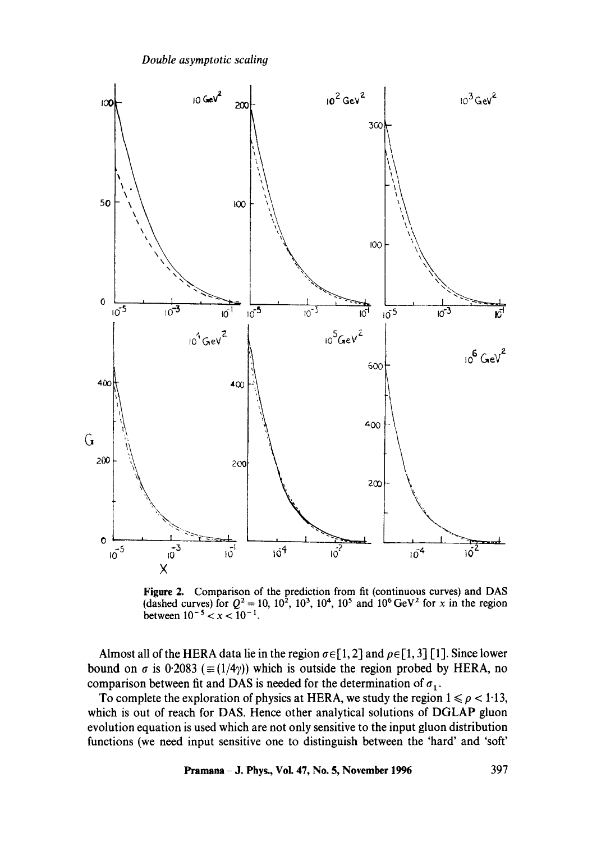*Double asymptotic scaling* 



Figure 2. Comparison of the prediction from fit (continuous curves) and DAS (dashed curves) for  $Q^2 = 10$ ,  $10^2$ ,  $10^3$ ,  $10^4$ ,  $10^5$  and  $10^6$  GeV<sup>2</sup> for x in the region between  $10^{-5} < x < 10^{-1}$ .

Almost all of the HERA data lie in the region  $\sigma \in [1, 2]$  and  $\rho \in [1, 3]$  [1]. Since lower bound on  $\sigma$  is 0.2083 ( $\equiv$ (1/4 $\gamma$ )) which is outside the region probed by HERA, no comparison between fit and DAS is needed for the determination of  $\sigma_1$ .

To complete the exploration of physics at HERA, we study the region  $1 \leq \rho < 1.13$ , which is out of reach for DAS. Hence other analytical solutions of DGLAP gluon evolution equation is used which are not only sensitive to the input gluon distribution functions (we need input sensitive one to distinguish between the 'hard' and 'soft'

**Pramana - J. Phys., Vol. 47, No. 5, November 1996 397**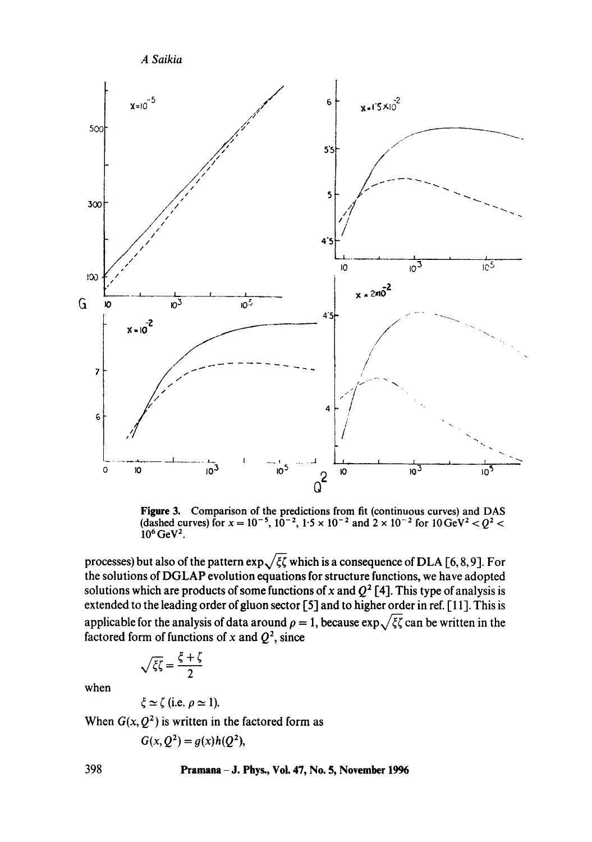

**Figure 3. Comparison of the predictions from fit (continuous curves) and DAS**  (dashed curves) for  $x = 10^{-5}$ ,  $10^{-2}$ ,  $1.5 \times 10^{-2}$  and  $2 \times 10^{-2}$  for  $10 \text{ GeV}^2 < Q^2 <$  $10^6$  GeV<sup>2</sup>.

processes) but also of the pattern  $\exp{\sqrt{\xi\zeta}}$  which is a consequence of DLA [6, 8, 9]. For **the solutions of DGLAP evolution equations for structure functions, we have adopted**  solutions which are products of some functions of x and  $Q^2$  [4]. This type of analysis is **extended to the leading order of gluon sector [5] and to higher order in ref. [ 11]. This is**  applicable for the analysis of data around  $\rho = 1$ , because  $\exp{\sqrt{\xi\zeta}}$  can be written in the factored form of functions of x and  $Q^2$ , since

$$
/\overline{\xi}\overline{\zeta} = \frac{\xi + \zeta}{2}
$$

**when** 

$$
\xi \simeq \zeta
$$
 (i.e.  $\rho \simeq 1$ ).

When  $G(x, Q^2)$  is written in the factored form as

$$
G(x, Q^2) = g(x)h(Q^2),
$$

# **398 Pramana - J. Phys., Voi. 47, No. 5, November 1996**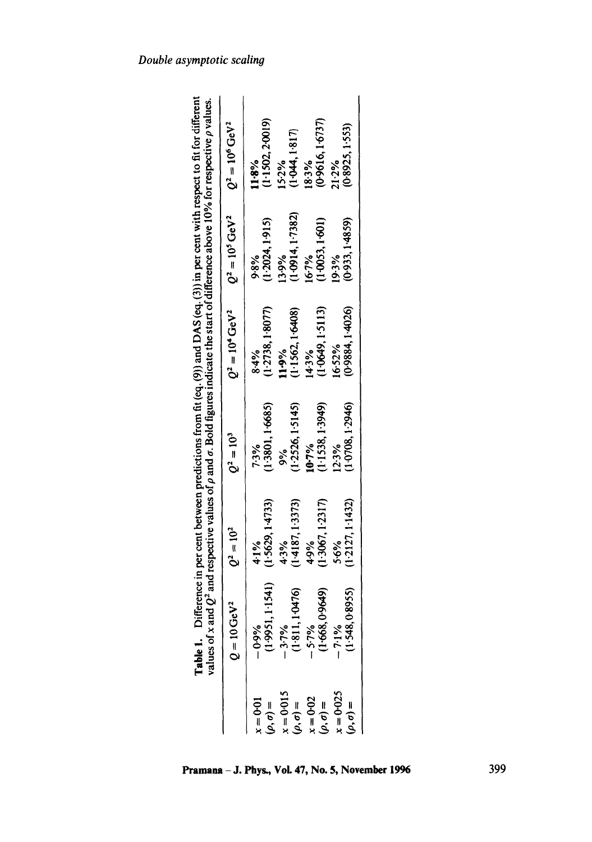|                                                                       | Table 1. Difference in per cent between predictions from fit (eq. (9)) and DAS (eq. (3)) in per cent with respect to fit for different values of x and $Q^2$ and respective values of x and $Q^2$ and respective values of x |                          |                             |                            |                            |                             |
|-----------------------------------------------------------------------|------------------------------------------------------------------------------------------------------------------------------------------------------------------------------------------------------------------------------|--------------------------|-----------------------------|----------------------------|----------------------------|-----------------------------|
|                                                                       | $Q = 10 \,\mathrm{GeV}^2$                                                                                                                                                                                                    | $Q^2 = 10^2$             | $Q^2 = 10^3$                | $Q^2 = 10^4 \text{ GeV}^2$ | $Q^2 = 10^5 \text{ GeV}^2$ | $Q^2 = 10^6 \,\text{GeV}^2$ |
| $t = 0.01$<br>$(\rho,\sigma) =$                                       |                                                                                                                                                                                                                              | (1.5629, 1.4733)<br>4.1% | (1.3801, 1.6685)<br>7.3%    | (1.2738, 1.8077)<br>84%    | (1.2024, 1.915)<br>9.8%    | (1.1502, 2.0019)<br>11.8%   |
|                                                                       |                                                                                                                                                                                                                              | (1.4187, 1.3373)<br>4.3% | (1.2526, 1.5145)<br>å<br>So | (1.1562, 1.6408)<br>11.9%  | (1.0914, 1.7382)<br>13.9%  | (1.044, 1.817)<br>15-2%     |
| $x = 0.015$<br>$(\rho, \sigma) =$<br>$x = 0.02$<br>$(\rho, \sigma) =$ | $-0.996$<br>$(1.9951, 1.1541)$<br>$-3.796$<br>$(1.811, 10476)$<br>$-5.796$<br>$(1.668, 0.9649)$                                                                                                                              | (1.3067, 1.2317)<br>4.9% | (1.1538, 1.3949)<br>10-7%   | (1.0649, 1.5113)<br>14.3%  | (1.0053, 1.601)<br>16.7%   | (0.9616, 1.6737)<br>18.3%   |
| $c = 0.025$<br>$(\rho, \sigma) =$                                     | $-7.1\%$<br>(1.548, 0.8955)                                                                                                                                                                                                  | (1:2127, 1:1432)<br>5.6% | (1.0708, 1.2946)<br>12.3%   | (0.9884, 1.4026)<br>16.52% | (0.933, 1.4859)<br>19.3%   | (0.8925, 1.553)<br>21.2%    |

# Pramana - J. Phys., Vol. 47, No. 5, November 1996